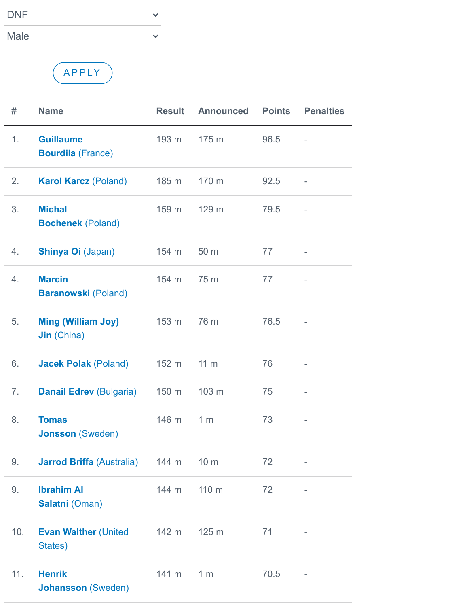| <b>DNF</b>  |  |
|-------------|--|
| <b>Male</b> |  |

A P P LY

| #   | <b>Name</b>                                     | <b>Result</b> | <b>Announced</b> | <b>Points</b> | <b>Penalties</b>         |
|-----|-------------------------------------------------|---------------|------------------|---------------|--------------------------|
| 1.  | <b>Guillaume</b><br><b>Bourdila (France)</b>    | 193 m         | 175 m            | 96.5          |                          |
| 2.  | <b>Karol Karcz (Poland)</b>                     | 185 m         | 170 m            | 92.5          | $\overline{a}$           |
| 3.  | <b>Michal</b><br><b>Bochenek (Poland)</b>       | 159 m         | 129 m            | 79.5          |                          |
| 4.  | <b>Shinya Oi (Japan)</b>                        | 154 m         | 50 m             | 77            | $\overline{\phantom{0}}$ |
| 4.  | <b>Marcin</b><br><b>Baranowski (Poland)</b>     | 154 m         | 75 m             | 77            |                          |
| 5.  | <b>Ming (William Joy)</b><br><b>Jin</b> (China) | 153 m         | 76 m             | 76.5          |                          |
| 6.  | <b>Jacek Polak (Poland)</b>                     | 152 m         | 11 <sub>m</sub>  | 76            | ÷                        |
| 7.  | <b>Danail Edrev (Bulgaria)</b>                  | 150 m         | 103 m            | 75            | $\overline{a}$           |
| 8.  | <b>Tomas</b><br><b>Jonsson (Sweden)</b>         | 146 m         | 1 <sub>m</sub>   | 73            | ÷,                       |
| 9.  | <b>Jarrod Briffa (Australia)</b> 144 m 10 m     |               |                  | 72            | ÷,                       |
| 9.  | <b>Ibrahim AI</b><br>Salatni (Oman)             | 144 m         | 110 m            | 72            | ÷,                       |
| 10. | <b>Evan Walther (United</b><br>States)          | 142 m         | 125 <sub>m</sub> | 71            |                          |
| 11. | <b>Henrik</b><br><b>Johansson</b> (Sweden)      | 141 m         | 1 <sub>m</sub>   | 70.5          |                          |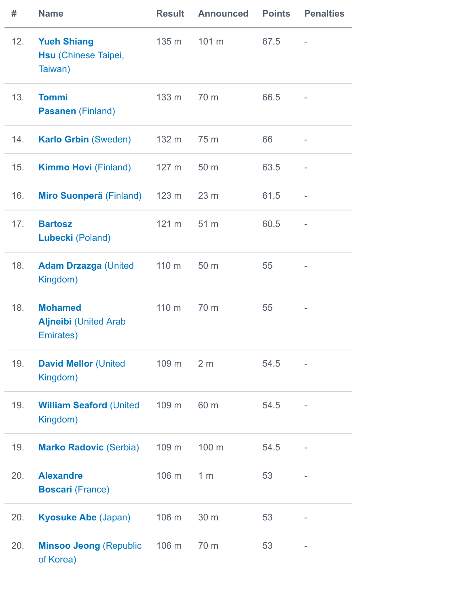| #   | <b>Name</b>                                                  | <b>Result</b>   | <b>Announced</b> | <b>Points</b> | <b>Penalties</b>         |
|-----|--------------------------------------------------------------|-----------------|------------------|---------------|--------------------------|
| 12. | <b>Yueh Shiang</b><br><b>Hsu (Chinese Taipei,</b><br>Taiwan) | 135 m           | 101 m            | 67.5          |                          |
| 13. | <b>Tommi</b><br><b>Pasanen</b> (Finland)                     | 133 m           | 70 m             | 66.5          |                          |
| 14. | <b>Karlo Grbin (Sweden)</b>                                  | 132 m           | 75 m             | 66            |                          |
| 15. | <b>Kimmo Hovi</b> (Finland)                                  | 127 m           | 50 m             | 63.5          |                          |
| 16. | Miro Suonperä (Finland) 123 m                                |                 | 23 <sub>m</sub>  | 61.5          | $\overline{\phantom{a}}$ |
| 17. | <b>Bartosz</b><br>Lubecki (Poland)                           | $121 \text{ m}$ | 51 m             | 60.5          |                          |
| 18. | <b>Adam Drzazga (United</b><br>Kingdom)                      | 110 m           | 50 m             | 55            |                          |
| 18. | <b>Mohamed</b><br><b>Aljneibi</b> (United Arab<br>Emirates)  | 110 m           | 70 m             | 55            |                          |
| 19. | <b>David Mellor (United)</b><br>Kingdom)                     | 109 m           | 2 <sub>m</sub>   | 54.5          |                          |
| 19. | <b>William Seaford (United</b><br>Kingdom)                   | 109 m           | 60 m             | 54.5          |                          |
| 19. | <b>Marko Radovic (Serbia)</b>                                | 109 m           | 100 m            | 54.5          |                          |
| 20. | <b>Alexandre</b><br><b>Boscari (France)</b>                  | 106 m           | 1 <sub>m</sub>   | 53            |                          |
| 20. | <b>Kyosuke Abe (Japan)</b>                                   | 106 m           | 30 m             | 53            |                          |
| 20. | <b>Minsoo Jeong (Republic</b><br>of Korea)                   | 106 m           | 70 m             | 53            |                          |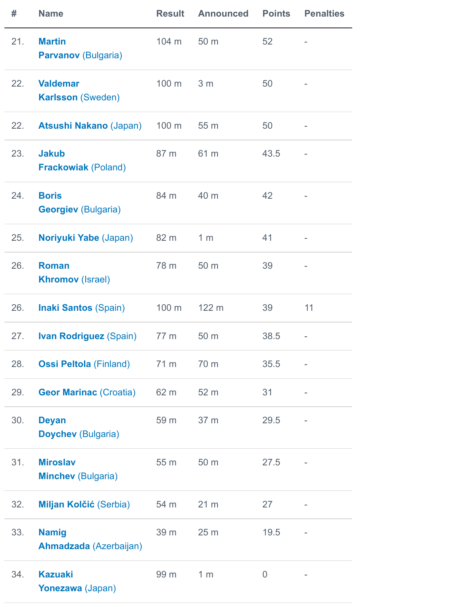| #   | <b>Name</b>                                  | <b>Result</b> | <b>Announced</b> | <b>Points</b>  | <b>Penalties</b> |
|-----|----------------------------------------------|---------------|------------------|----------------|------------------|
| 21. | <b>Martin</b><br><b>Parvanov (Bulgaria)</b>  | 104 m         | 50 m             | 52             |                  |
| 22. | <b>Valdemar</b><br><b>Karlsson (Sweden)</b>  | 100 m         | 3 <sub>m</sub>   | 50             |                  |
| 22. | <b>Atsushi Nakano (Japan)</b>                | 100 m         | 55 m             | 50             | -                |
| 23. | <b>Jakub</b><br><b>Frackowiak (Poland)</b>   | 87 m          | 61 m             | 43.5           |                  |
| 24. | <b>Boris</b><br><b>Georgiev (Bulgaria)</b>   | 84 m          | 40 m             | 42             |                  |
| 25. | Noriyuki Yabe (Japan)                        | 82 m          | 1 <sub>m</sub>   | 41             | ÷,               |
| 26. | <b>Roman</b><br><b>Khromov (Israel)</b>      | 78 m          | 50 m             | 39             |                  |
| 26. | <b>Inaki Santos (Spain)</b>                  | 100 m         | 122 m            | 39             | 11               |
| 27. | <b>Ivan Rodriguez (Spain)</b>                | 77 m          | 50 m             | 38.5           |                  |
| 28. | <b>Ossi Peltola</b> (Finland) 71 m           |               | 70 m             | 35.5           |                  |
| 29. | <b>Geor Marinac (Croatia)</b>                | 62 m          | 52 m             | 31             | -                |
| 30. | <b>Deyan</b><br><b>Doychev (Bulgaria)</b>    | 59 m          | 37 m             | 29.5           | -                |
| 31. | <b>Miroslav</b><br><b>Minchev (Bulgaria)</b> | 55 m          | 50 m             | 27.5           | -                |
| 32. | <b>Miljan Kolčić (Serbia)</b>                | 54 m          | 21 <sub>m</sub>  | 27             | -                |
| 33. | <b>Namig</b><br>Ahmadzada (Azerbaijan)       | 39 m          | 25 <sub>m</sub>  | 19.5           |                  |
| 34. | <b>Kazuaki</b><br>Yonezawa (Japan)           | 99 m          | 1 <sub>m</sub>   | $\overline{0}$ |                  |